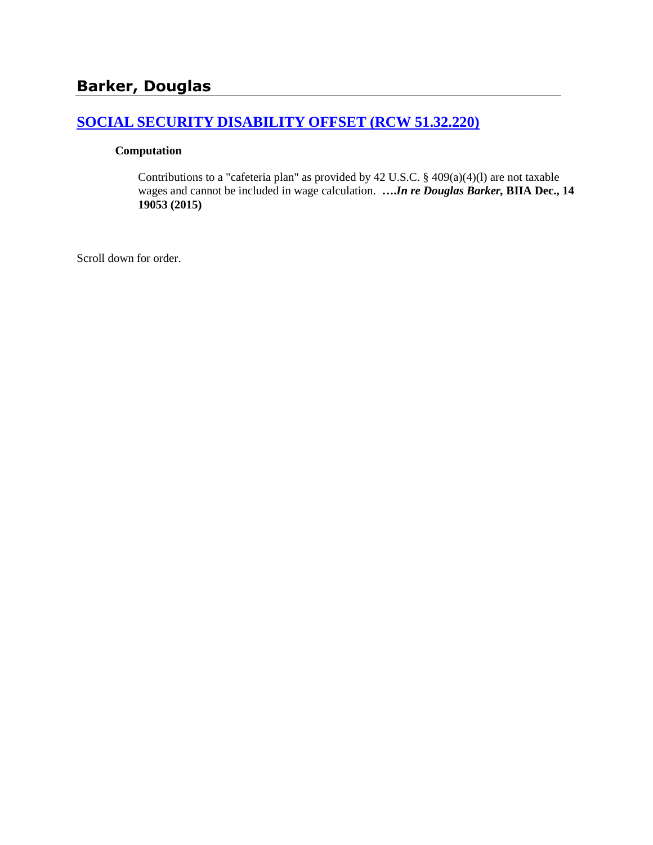# **[SOCIAL SECURITY DISABILITY OFFSET \(RCW 51.32.220\)](http://www.biia.wa.gov/SDSubjectIndex.html#SOCIAL_SECURITY_DISABILITY_OFFSET)**

#### **Computation**

Contributions to a "cafeteria plan" as provided by 42 U.S.C. § 409(a)(4)(l) are not taxable wages and cannot be included in wage calculation. **….***In re Douglas Barker,* **BIIA Dec., 14 19053 (2015)**

Scroll down for order.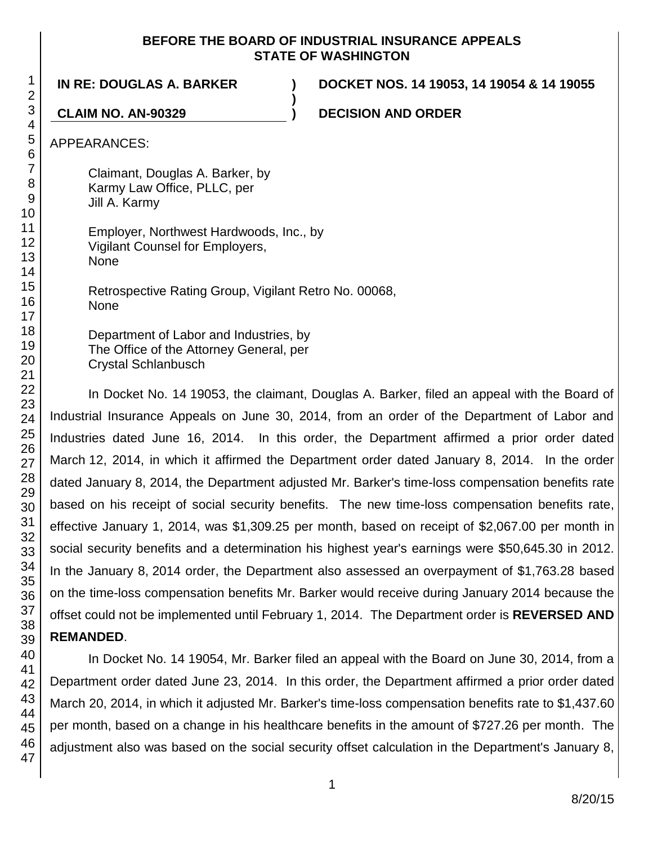### **BEFORE THE BOARD OF INDUSTRIAL INSURANCE APPEALS STATE OF WASHINGTON**

**)**

**IN RE: DOUGLAS A. BARKER ) DOCKET NOS. 14 19053, 14 19054 & 14 19055**

**CLAIM NO. AN-90329 ) DECISION AND ORDER**

APPEARANCES:

Claimant, Douglas A. Barker, by Karmy Law Office, PLLC, per Jill A. Karmy

Employer, Northwest Hardwoods, Inc., by Vigilant Counsel for Employers, None

Retrospective Rating Group, Vigilant Retro No. 00068, None

Department of Labor and Industries, by The Office of the Attorney General, per Crystal Schlanbusch

In Docket No. 14 19053, the claimant, Douglas A. Barker, filed an appeal with the Board of Industrial Insurance Appeals on June 30, 2014, from an order of the Department of Labor and Industries dated June 16, 2014. In this order, the Department affirmed a prior order dated March 12, 2014, in which it affirmed the Department order dated January 8, 2014. In the order dated January 8, 2014, the Department adjusted Mr. Barker's time-loss compensation benefits rate based on his receipt of social security benefits. The new time-loss compensation benefits rate, effective January 1, 2014, was \$1,309.25 per month, based on receipt of \$2,067.00 per month in social security benefits and a determination his highest year's earnings were \$50,645.30 in 2012. In the January 8, 2014 order, the Department also assessed an overpayment of \$1,763.28 based on the time-loss compensation benefits Mr. Barker would receive during January 2014 because the offset could not be implemented until February 1, 2014. The Department order is **REVERSED AND REMANDED**.

In Docket No. 14 19054, Mr. Barker filed an appeal with the Board on June 30, 2014, from a Department order dated June 23, 2014. In this order, the Department affirmed a prior order dated March 20, 2014, in which it adjusted Mr. Barker's time-loss compensation benefits rate to \$1,437.60 per month, based on a change in his healthcare benefits in the amount of \$727.26 per month. The adjustment also was based on the social security offset calculation in the Department's January 8,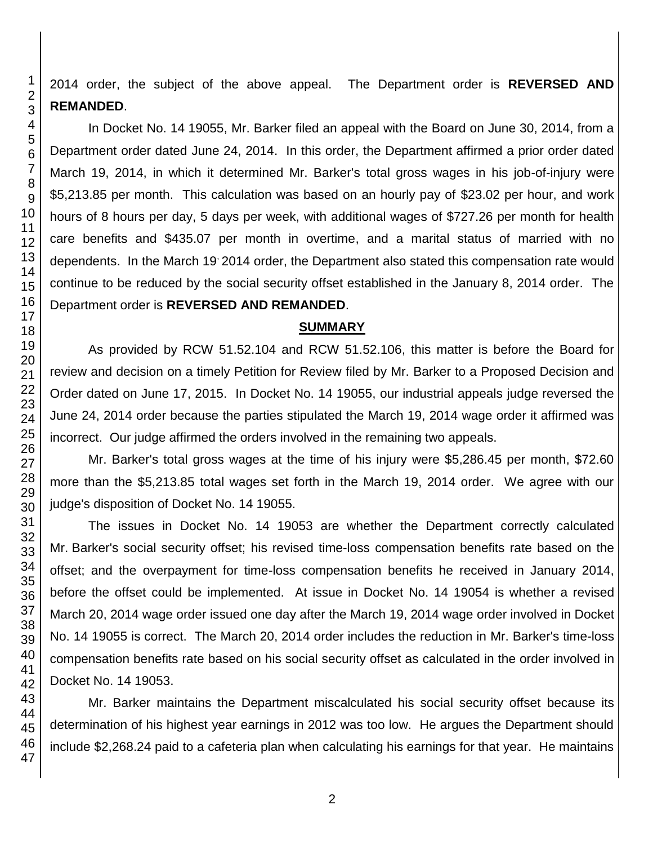2014 order, the subject of the above appeal. The Department order is **REVERSED AND REMANDED**.

In Docket No. 14 19055, Mr. Barker filed an appeal with the Board on June 30, 2014, from a Department order dated June 24, 2014. In this order, the Department affirmed a prior order dated March 19, 2014, in which it determined Mr. Barker's total gross wages in his job-of-injury were \$5,213.85 per month. This calculation was based on an hourly pay of \$23.02 per hour, and work hours of 8 hours per day, 5 days per week, with additional wages of \$727.26 per month for health care benefits and \$435.07 per month in overtime, and a marital status of married with no dependents. In the March 19 2014 order, the Department also stated this compensation rate would continue to be reduced by the social security offset established in the January 8, 2014 order. The Department order is **REVERSED AND REMANDED**.

#### **SUMMARY**

As provided by RCW 51.52.104 and RCW 51.52.106, this matter is before the Board for review and decision on a timely Petition for Review filed by Mr. Barker to a Proposed Decision and Order dated on June 17, 2015. In Docket No. 14 19055, our industrial appeals judge reversed the June 24, 2014 order because the parties stipulated the March 19, 2014 wage order it affirmed was incorrect. Our judge affirmed the orders involved in the remaining two appeals.

Mr. Barker's total gross wages at the time of his injury were \$5,286.45 per month, \$72.60 more than the \$5,213.85 total wages set forth in the March 19, 2014 order. We agree with our judge's disposition of Docket No. 14 19055.

The issues in Docket No. 14 19053 are whether the Department correctly calculated Mr. Barker's social security offset; his revised time-loss compensation benefits rate based on the offset; and the overpayment for time-loss compensation benefits he received in January 2014, before the offset could be implemented. At issue in Docket No. 14 19054 is whether a revised March 20, 2014 wage order issued one day after the March 19, 2014 wage order involved in Docket No. 14 19055 is correct. The March 20, 2014 order includes the reduction in Mr. Barker's time-loss compensation benefits rate based on his social security offset as calculated in the order involved in Docket No. 14 19053.

Mr. Barker maintains the Department miscalculated his social security offset because its determination of his highest year earnings in 2012 was too low. He argues the Department should include \$2,268.24 paid to a cafeteria plan when calculating his earnings for that year. He maintains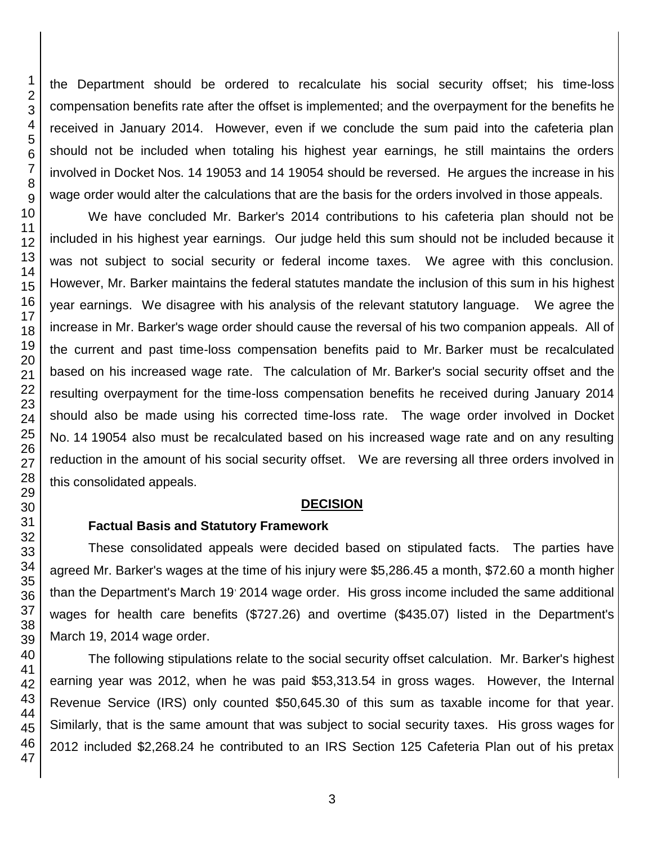the Department should be ordered to recalculate his social security offset; his time-loss compensation benefits rate after the offset is implemented; and the overpayment for the benefits he received in January 2014. However, even if we conclude the sum paid into the cafeteria plan should not be included when totaling his highest year earnings, he still maintains the orders involved in Docket Nos. 14 19053 and 14 19054 should be reversed. He argues the increase in his wage order would alter the calculations that are the basis for the orders involved in those appeals.

We have concluded Mr. Barker's 2014 contributions to his cafeteria plan should not be included in his highest year earnings. Our judge held this sum should not be included because it was not subject to social security or federal income taxes. We agree with this conclusion. However, Mr. Barker maintains the federal statutes mandate the inclusion of this sum in his highest year earnings. We disagree with his analysis of the relevant statutory language. We agree the increase in Mr. Barker's wage order should cause the reversal of his two companion appeals. All of the current and past time-loss compensation benefits paid to Mr. Barker must be recalculated based on his increased wage rate. The calculation of Mr. Barker's social security offset and the resulting overpayment for the time-loss compensation benefits he received during January 2014 should also be made using his corrected time-loss rate. The wage order involved in Docket No. 14 19054 also must be recalculated based on his increased wage rate and on any resulting reduction in the amount of his social security offset. We are reversing all three orders involved in this consolidated appeals.

#### **DECISION**

#### **Factual Basis and Statutory Framework**

These consolidated appeals were decided based on stipulated facts. The parties have agreed Mr. Barker's wages at the time of his injury were \$5,286.45 a month, \$72.60 a month higher than the Department's March 19 2014 wage order. His gross income included the same additional wages for health care benefits (\$727.26) and overtime (\$435.07) listed in the Department's March 19, 2014 wage order.

The following stipulations relate to the social security offset calculation. Mr. Barker's highest earning year was 2012, when he was paid \$53,313.54 in gross wages. However, the Internal Revenue Service (IRS) only counted \$50,645.30 of this sum as taxable income for that year. Similarly, that is the same amount that was subject to social security taxes. His gross wages for 2012 included \$2,268.24 he contributed to an IRS Section 125 Cafeteria Plan out of his pretax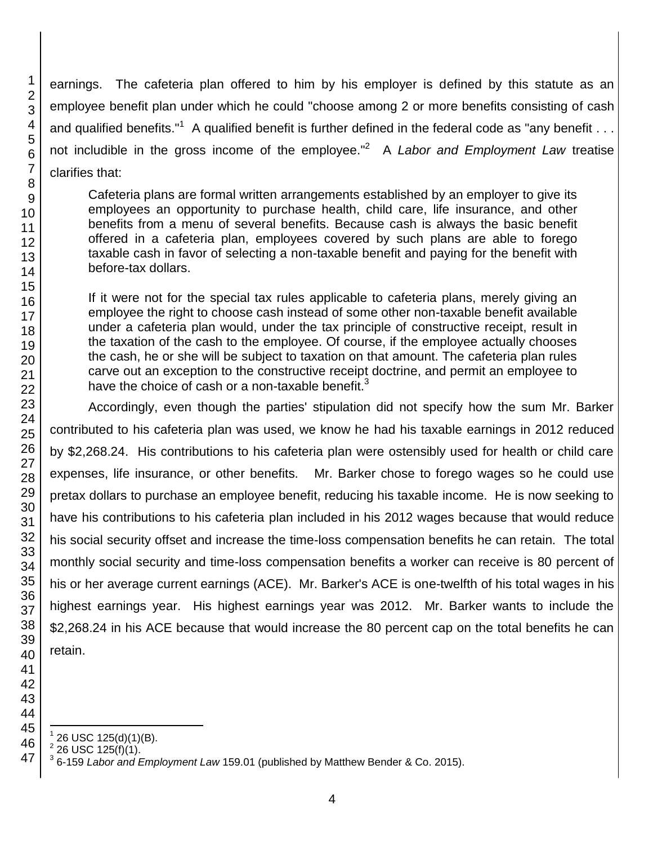earnings. The cafeteria plan offered to him by his employer is defined by this statute as an employee benefit plan under which he could "choose among 2 or more benefits consisting of cash and qualified benefits."<sup>1</sup> A qualified benefit is further defined in the federal code as "any benefit  $\dots$ not includible in the gross income of the employee." 2 A *Labor and Employment Law* treatise clarifies that:

Cafeteria plans are formal written arrangements established by an employer to give its employees an opportunity to purchase health, child care, life insurance, and other benefits from a menu of several benefits. Because cash is always the basic benefit offered in a cafeteria plan, employees covered by such plans are able to forego taxable cash in favor of selecting a non-taxable benefit and paying for the benefit with before-tax dollars.

If it were not for the special tax rules applicable to cafeteria plans, merely giving an employee the right to choose cash instead of some other non-taxable benefit available under a cafeteria plan would, under the tax principle of constructive receipt, result in the taxation of the cash to the employee. Of course, if the employee actually chooses the cash, he or she will be subject to taxation on that amount. The cafeteria plan rules carve out an exception to the constructive receipt doctrine, and permit an employee to have the choice of cash or a non-taxable benefit.

Accordingly, even though the parties' stipulation did not specify how the sum Mr. Barker contributed to his cafeteria plan was used, we know he had his taxable earnings in 2012 reduced by \$2,268.24. His contributions to his cafeteria plan were ostensibly used for health or child care expenses, life insurance, or other benefits. Mr. Barker chose to forego wages so he could use pretax dollars to purchase an employee benefit, reducing his taxable income. He is now seeking to have his contributions to his cafeteria plan included in his 2012 wages because that would reduce his social security offset and increase the time-loss compensation benefits he can retain. The total monthly social security and time-loss compensation benefits a worker can receive is 80 percent of his or her average current earnings (ACE). Mr. Barker's ACE is one-twelfth of his total wages in his highest earnings year. His highest earnings year was 2012. Mr. Barker wants to include the \$2,268.24 in his ACE because that would increase the 80 percent cap on the total benefits he can retain.

- l 26 USC 125(d)(1)(B).
- 26 USC 125(f)(1).

6-159 *Labor and Employment Law* 159.01 (published by Matthew Bender & Co. 2015).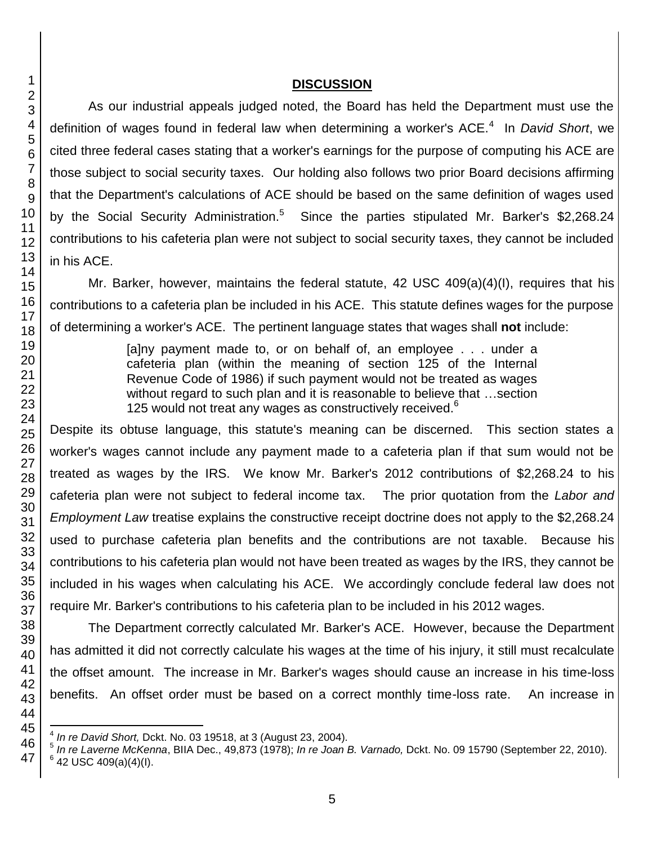## **DISCUSSION**

As our industrial appeals judged noted, the Board has held the Department must use the definition of wages found in federal law when determining a worker's ACE.<sup>4</sup> In *David Short*, we cited three federal cases stating that a worker's earnings for the purpose of computing his ACE are those subject to social security taxes. Our holding also follows two prior Board decisions affirming that the Department's calculations of ACE should be based on the same definition of wages used by the Social Security Administration.<sup>5</sup> Since the parties stipulated Mr. Barker's \$2,268.24 contributions to his cafeteria plan were not subject to social security taxes, they cannot be included in his ACE.

Mr. Barker, however, maintains the federal statute, 42 USC 409(a)(4)(I), requires that his contributions to a cafeteria plan be included in his ACE. This statute defines wages for the purpose of determining a worker's ACE. The pertinent language states that wages shall **not** include:

> [a]ny payment made to, or on behalf of, an employee . . . under a cafeteria plan (within the meaning of section 125 of the Internal Revenue Code of 1986) if such payment would not be treated as wages without regard to such plan and it is reasonable to believe that …section 125 would not treat any wages as constructively received.

Despite its obtuse language, this statute's meaning can be discerned. This section states a worker's wages cannot include any payment made to a cafeteria plan if that sum would not be treated as wages by the IRS. We know Mr. Barker's 2012 contributions of \$2,268.24 to his cafeteria plan were not subject to federal income tax. The prior quotation from the *Labor and Employment Law* treatise explains the constructive receipt doctrine does not apply to the \$2,268.24 used to purchase cafeteria plan benefits and the contributions are not taxable. Because his contributions to his cafeteria plan would not have been treated as wages by the IRS, they cannot be included in his wages when calculating his ACE. We accordingly conclude federal law does not require Mr. Barker's contributions to his cafeteria plan to be included in his 2012 wages.

The Department correctly calculated Mr. Barker's ACE. However, because the Department has admitted it did not correctly calculate his wages at the time of his injury, it still must recalculate the offset amount. The increase in Mr. Barker's wages should cause an increase in his time-loss benefits. An offset order must be based on a correct monthly time-loss rate. An increase in

 $\overline{\phantom{a}}$ *In re David Short,* Dckt. No. 03 19518, at 3 (August 23, 2004)*.*

 *In re Laverne McKenna*, BIIA Dec., 49,873 (1978); *In re Joan B. Varnado,* Dckt. No. 09 15790 (September 22, 2010). USC 409(a)(4)(l).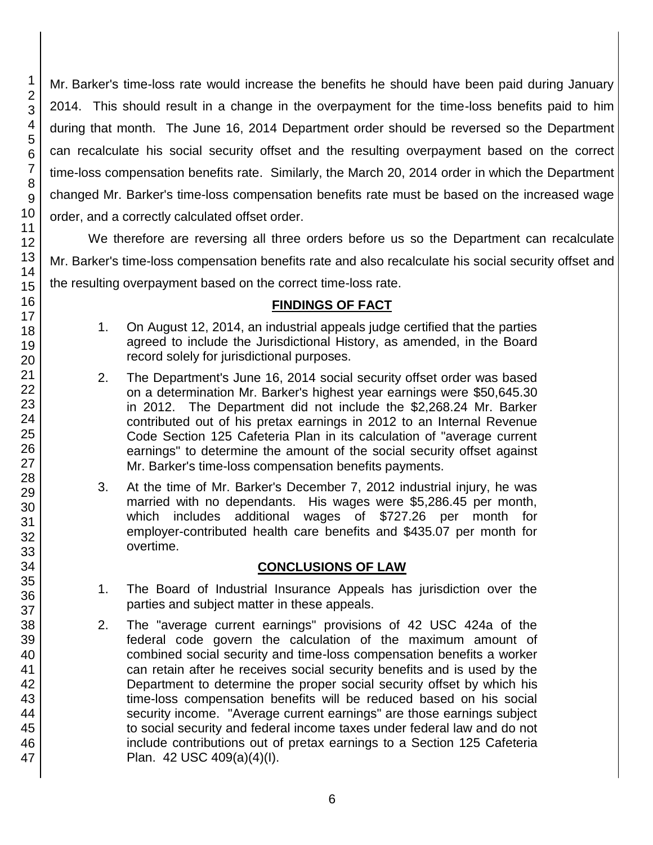Mr. Barker's time-loss rate would increase the benefits he should have been paid during January 2014. This should result in a change in the overpayment for the time-loss benefits paid to him during that month. The June 16, 2014 Department order should be reversed so the Department can recalculate his social security offset and the resulting overpayment based on the correct time-loss compensation benefits rate. Similarly, the March 20, 2014 order in which the Department changed Mr. Barker's time-loss compensation benefits rate must be based on the increased wage order, and a correctly calculated offset order.

We therefore are reversing all three orders before us so the Department can recalculate Mr. Barker's time-loss compensation benefits rate and also recalculate his social security offset and the resulting overpayment based on the correct time-loss rate.

## **FINDINGS OF FACT**

- 1. On August 12, 2014, an industrial appeals judge certified that the parties agreed to include the Jurisdictional History, as amended, in the Board record solely for jurisdictional purposes.
- 2. The Department's June 16, 2014 social security offset order was based on a determination Mr. Barker's highest year earnings were \$50,645.30 in 2012. The Department did not include the \$2,268.24 Mr. Barker contributed out of his pretax earnings in 2012 to an Internal Revenue Code Section 125 Cafeteria Plan in its calculation of "average current earnings" to determine the amount of the social security offset against Mr. Barker's time-loss compensation benefits payments.
- 3. At the time of Mr. Barker's December 7, 2012 industrial injury, he was married with no dependants. His wages were \$5,286.45 per month, which includes additional wages of \$727.26 per month for employer-contributed health care benefits and \$435.07 per month for overtime.

## **CONCLUSIONS OF LAW**

- 1. The Board of Industrial Insurance Appeals has jurisdiction over the parties and subject matter in these appeals.
- 2. The "average current earnings" provisions of 42 USC 424a of the federal code govern the calculation of the maximum amount of combined social security and time-loss compensation benefits a worker can retain after he receives social security benefits and is used by the Department to determine the proper social security offset by which his time-loss compensation benefits will be reduced based on his social security income. "Average current earnings" are those earnings subject to social security and federal income taxes under federal law and do not include contributions out of pretax earnings to a Section 125 Cafeteria Plan. 42 USC 409(a)(4)(I).